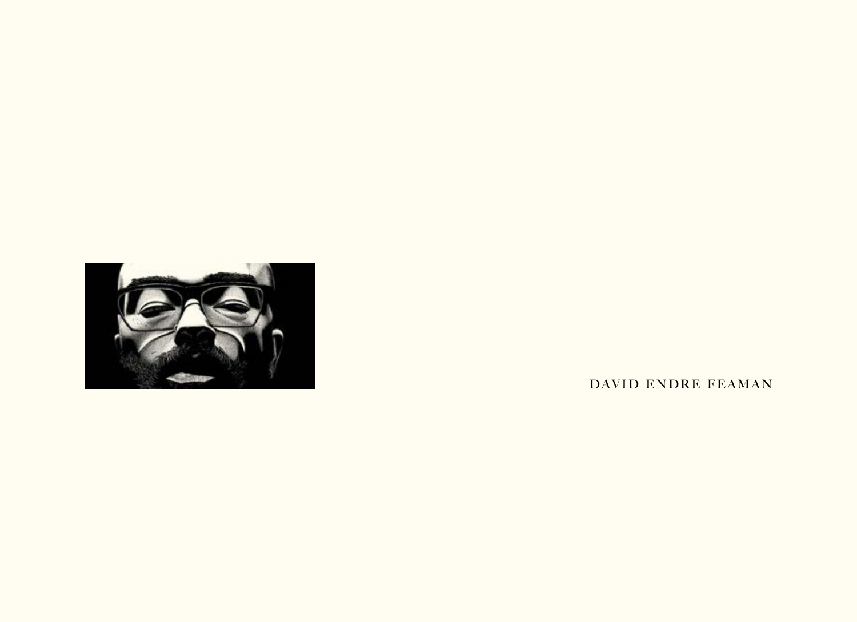

DAVID ENDRE FEAMAN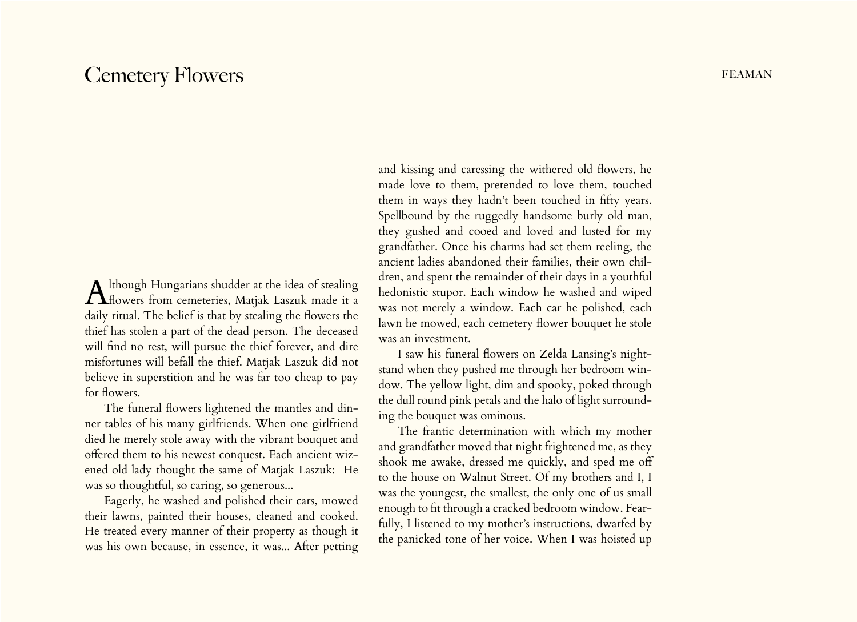## Cemetery Flowers FEAMAN

Although Hungarians shudder at the idea of stealing<br>Howers from cemeteries, Matjak Laszuk made it a daily ritual. The belief is that by stealing the flowers the thief has stolen a part of the dead person. The deceased will find no rest, will pursue the thief forever, and dire misfortunes will befall the thief. Matjak Laszuk did not believe in superstition and he was far too cheap to pay for flowers.

The funeral flowers lightened the mantles and dinner tables of his many girlfriends. When one girlfriend died he merely stole away with the vibrant bouquet and offered them to his newest conquest. Each ancient wizened old lady thought the same of Matjak Laszuk: He was so thoughtful, so caring, so generous...

Eagerly, he washed and polished their cars, mowed their lawns, painted their houses, cleaned and cooked. He treated every manner of their property as though it was his own because, in essence, it was... After petting

and kissing and caressing the withered old flowers, he made love to them, pretended to love them, touched them in ways they hadn't been touched in fifty years. Spellbound by the ruggedly handsome burly old man, they gushed and cooed and loved and lusted for my grandfather. Once his charms had set them reeling, the ancient ladies abandoned their families, their own children, and spent the remainder of their days in a youthful hedonistic stupor. Each window he washed and wiped was not merely a window. Each car he polished, each lawn he mowed, each cemetery flower bouquet he stole was an investment.

I saw his funeral flowers on Zelda Lansing's nightstand when they pushed me through her bedroom window. The yellow light, dim and spooky, poked through the dull round pink petals and the halo of light surrounding the bouquet was ominous.

The frantic determination with which my mother and grandfather moved that night frightened me, as they shook me awake, dressed me quickly, and sped me off to the house on Walnut Street. Of my brothers and I, I was the youngest, the smallest, the only one of us small enough to fit through a cracked bedroom window. Fearfully, I listened to my mother's instructions, dwarfed by the panicked tone of her voice. When I was hoisted up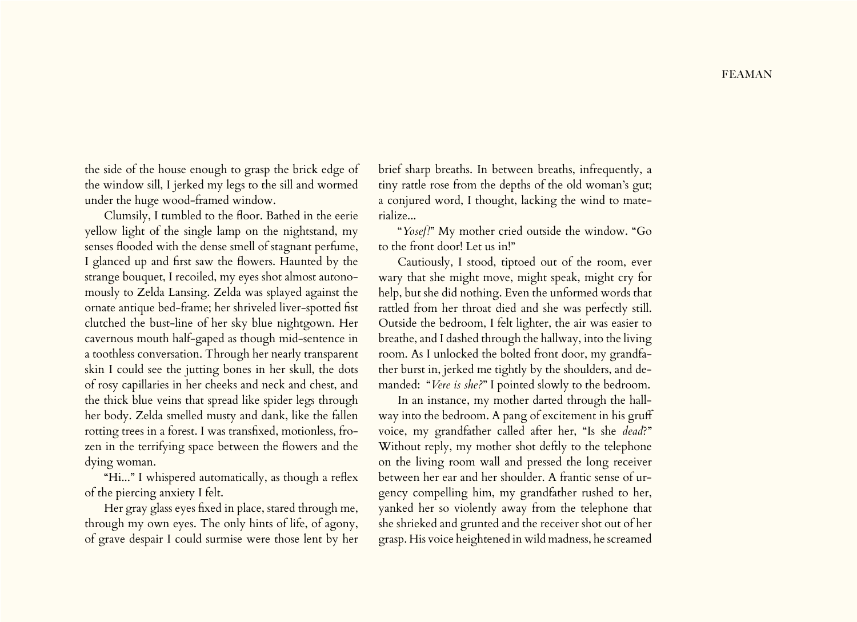the side of the house enough to grasp the brick edge of the window sill, I jerked my legs to the sill and wormed under the huge wood-framed window.

Clumsily, I tumbled to the floor. Bathed in the eerie yellow light of the single lamp on the nightstand, my senses flooded with the dense smell of stagnant perfume, I glanced up and first saw the flowers. Haunted by the strange bouquet, I recoiled, my eyes shot almost autonomously to Zelda Lansing. Zelda was splayed against the ornate antique bed-frame; her shriveled liver-spotted fist clutched the bust-line of her sky blue nightgown. Her cavernous mouth half-gaped as though mid-sentence in a toothless conversation. Through her nearly transparent skin I could see the jutting bones in her skull, the dots of rosy capillaries in her cheeks and neck and chest, and the thick blue veins that spread like spider legs through her body. Zelda smelled musty and dank, like the fallen rotting trees in a forest. I was transfixed, motionless, frozen in the terrifying space between the flowers and the dying woman.

"Hi..." I whispered automatically, as though a reflex of the piercing anxiety I felt.

Her gray glass eyes fixed in place, stared through me, through my own eyes. The only hints of life, of agony, of grave despair I could surmise were those lent by her

brief sharp breaths. In between breaths, infrequently, a tiny rattle rose from the depths of the old woman's gut; a conjured word, I thought, lacking the wind to materialize...

"*Yosef!*" My mother cried outside the window. "Go to the front door! Let us in!"

Cautiously, I stood, tiptoed out of the room, ever wary that she might move, might speak, might cry for help, but she did nothing. Even the unformed words that rattled from her throat died and she was perfectly still. Outside the bedroom, I felt lighter, the air was easier to breathe, and I dashed through the hallway, into the living room. As I unlocked the bolted front door, my grandfather burst in, jerked me tightly by the shoulders, and demanded: "*Vere is she?*" I pointed slowly to the bedroom.

In an instance, my mother darted through the hallway into the bedroom. A pang of excitement in his gruff voice, my grandfather called after her, "Is she *dead*?" Without reply, my mother shot deftly to the telephone on the living room wall and pressed the long receiver between her ear and her shoulder. A frantic sense of urgency compelling him, my grandfather rushed to her, yanked her so violently away from the telephone that she shrieked and grunted and the receiver shot out of her grasp. His voice heightened in wild madness, he screamed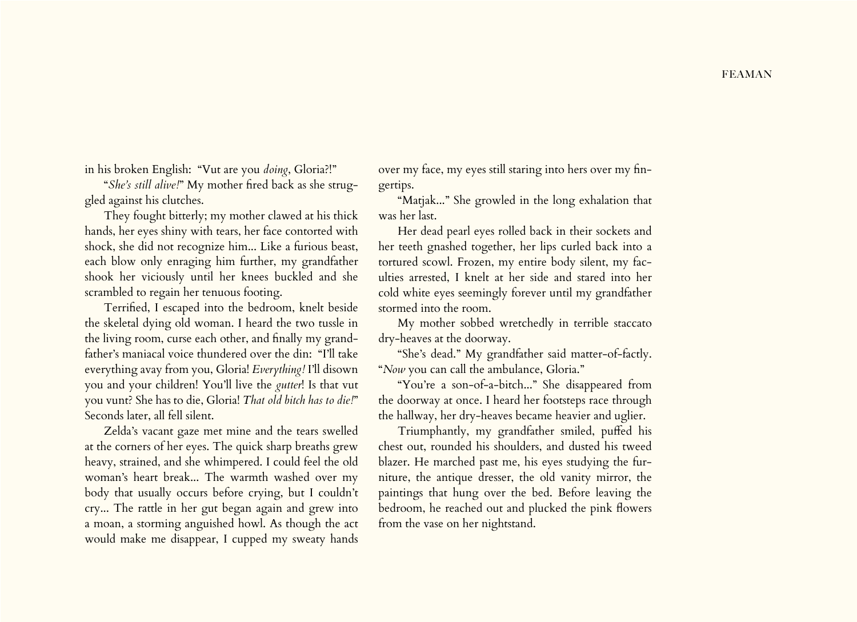in his broken English: "Vut are you *doing*, Gloria?!"

"*She's still alive!*" My mother fired back as she struggled against his clutches.

They fought bitterly; my mother clawed at his thick hands, her eyes shiny with tears, her face contorted with shock, she did not recognize him... Like a furious beast, each blow only enraging him further, my grandfather shook her viciously until her knees buckled and she scrambled to regain her tenuous footing.

Terrified, I escaped into the bedroom, knelt beside the skeletal dying old woman. I heard the two tussle in the living room, curse each other, and finally my grandfather's maniacal voice thundered over the din: "I'll take everything avay from you, Gloria! *Everything!* I'll disown you and your children! You'll live the *gutter*! Is that vut you vunt? She has to die, Gloria! *That old bitch has to die!*" Seconds later, all fell silent.

Zelda's vacant gaze met mine and the tears swelled at the corners of her eyes. The quick sharp breaths grew heavy, strained, and she whimpered. I could feel the old woman's heart break... The warmth washed over my body that usually occurs before crying, but I couldn't cry... The rattle in her gut began again and grew into a moan, a storming anguished howl. As though the act would make me disappear, I cupped my sweaty hands

over my face, my eyes still staring into hers over my fingertips.

"Matjak..." She growled in the long exhalation that was her last.

Her dead pearl eyes rolled back in their sockets and her teeth gnashed together, her lips curled back into a tortured scowl. Frozen, my entire body silent, my faculties arrested, I knelt at her side and stared into her cold white eyes seemingly forever until my grandfather stormed into the room.

My mother sobbed wretchedly in terrible staccato dry-heaves at the doorway.

"She's dead." My grandfather said matter-of-factly. "*Now* you can call the ambulance, Gloria."

"You're a son-of-a-bitch..." She disappeared from the doorway at once. I heard her footsteps race through the hallway, her dry-heaves became heavier and uglier.

Triumphantly, my grandfather smiled, puffed his chest out, rounded his shoulders, and dusted his tweed blazer. He marched past me, his eyes studying the furniture, the antique dresser, the old vanity mirror, the paintings that hung over the bed. Before leaving the bedroom, he reached out and plucked the pink flowers from the vase on her nightstand.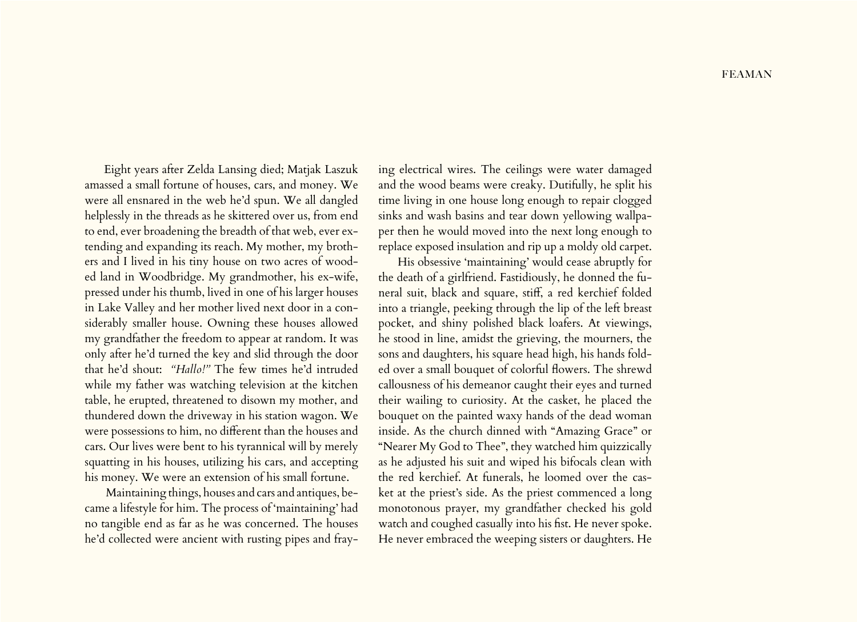Eight years after Zelda Lansing died; Matjak Laszuk amassed a small fortune of houses, cars, and money. We were all ensnared in the web he'd spun. We all dangled helplessly in the threads as he skittered over us, from end to end, ever broadening the breadth of that web, ever extending and expanding its reach. My mother, my brothers and I lived in his tiny house on two acres of wooded land in Woodbridge. My grandmother, his ex-wife, pressed under his thumb, lived in one of his larger houses in Lake Valley and her mother lived next door in a considerably smaller house. Owning these houses allowed my grandfather the freedom to appear at random. It was only after he'd turned the key and slid through the door that he'd shout: *"Hallo!"* The few times he'd intruded while my father was watching television at the kitchen table, he erupted, threatened to disown my mother, and thundered down the driveway in his station wagon. We were possessions to him, no different than the houses and cars. Our lives were bent to his tyrannical will by merely squatting in his houses, utilizing his cars, and accepting his money. We were an extension of his small fortune.

 Maintaining things, houses and cars and antiques, became a lifestyle for him. The process of 'maintaining' had no tangible end as far as he was concerned. The houses he'd collected were ancient with rusting pipes and fraying electrical wires. The ceilings were water damaged and the wood beams were creaky. Dutifully, he split his time living in one house long enough to repair clogged sinks and wash basins and tear down yellowing wallpaper then he would moved into the next long enough to replace exposed insulation and rip up a moldy old carpet.

His obsessive 'maintaining' would cease abruptly for the death of a girlfriend. Fastidiously, he donned the funeral suit, black and square, stiff, a red kerchief folded into a triangle, peeking through the lip of the left breast pocket, and shiny polished black loafers. At viewings, he stood in line, amidst the grieving, the mourners, the sons and daughters, his square head high, his hands folded over a small bouquet of colorful flowers. The shrewd callousness of his demeanor caught their eyes and turned their wailing to curiosity. At the casket, he placed the bouquet on the painted waxy hands of the dead woman inside. As the church dinned with "Amazing Grace" or "Nearer My God to Thee", they watched him quizzically as he adjusted his suit and wiped his bifocals clean with the red kerchief. At funerals, he loomed over the casket at the priest's side. As the priest commenced a long monotonous prayer, my grandfather checked his gold watch and coughed casually into his fist. He never spoke. He never embraced the weeping sisters or daughters. He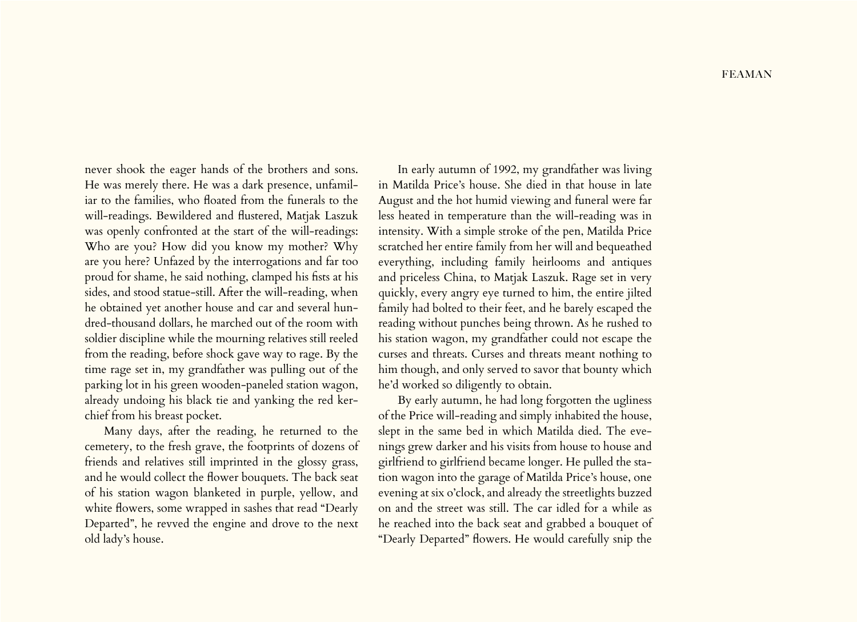never shook the eager hands of the brothers and sons. He was merely there. He was a dark presence, unfamiliar to the families, who floated from the funerals to the will-readings. Bewildered and flustered, Matjak Laszuk was openly confronted at the start of the will-readings: Who are you? How did you know my mother? Why are you here? Unfazed by the interrogations and far too proud for shame, he said nothing, clamped his fists at his sides, and stood statue-still. After the will-reading, when he obtained yet another house and car and several hundred-thousand dollars, he marched out of the room with soldier discipline while the mourning relatives still reeled from the reading, before shock gave way to rage. By the time rage set in, my grandfather was pulling out of the parking lot in his green wooden-paneled station wagon, already undoing his black tie and yanking the red kerchief from his breast pocket.

Many days, after the reading, he returned to the cemetery, to the fresh grave, the footprints of dozens of friends and relatives still imprinted in the glossy grass, and he would collect the flower bouquets. The back seat of his station wagon blanketed in purple, yellow, and white flowers, some wrapped in sashes that read "Dearly Departed", he revved the engine and drove to the next old lady's house.

In early autumn of 1992, my grandfather was living in Matilda Price's house. She died in that house in late August and the hot humid viewing and funeral were far less heated in temperature than the will-reading was in intensity. With a simple stroke of the pen, Matilda Price scratched her entire family from her will and bequeathed everything, including family heirlooms and antiques and priceless China, to Matjak Laszuk. Rage set in very quickly, every angry eye turned to him, the entire jilted family had bolted to their feet, and he barely escaped the reading without punches being thrown. As he rushed to his station wagon, my grandfather could not escape the curses and threats. Curses and threats meant nothing to him though, and only served to savor that bounty which he'd worked so diligently to obtain.

By early autumn, he had long forgotten the ugliness of the Price will-reading and simply inhabited the house, slept in the same bed in which Matilda died. The evenings grew darker and his visits from house to house and girlfriend to girlfriend became longer. He pulled the station wagon into the garage of Matilda Price's house, one evening at six o'clock, and already the streetlights buzzed on and the street was still. The car idled for a while as he reached into the back seat and grabbed a bouquet of "Dearly Departed" flowers. He would carefully snip the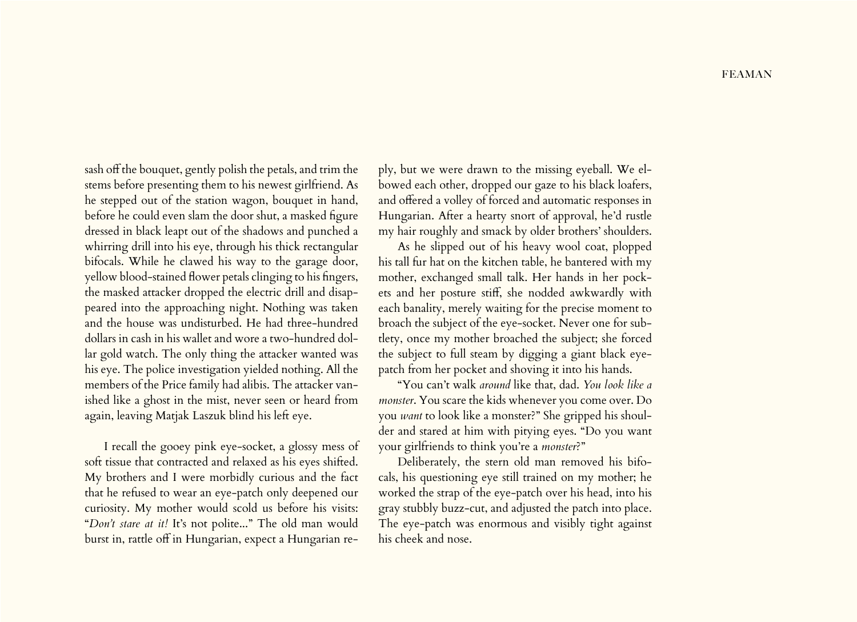sash off the bouquet, gently polish the petals, and trim the stems before presenting them to his newest girlfriend. As he stepped out of the station wagon, bouquet in hand, before he could even slam the door shut, a masked figure dressed in black leapt out of the shadows and punched a whirring drill into his eye, through his thick rectangular bifocals. While he clawed his way to the garage door, yellow blood-stained flower petals clinging to his fingers, the masked attacker dropped the electric drill and disappeared into the approaching night. Nothing was taken and the house was undisturbed. He had three-hundred dollars in cash in his wallet and wore a two-hundred dollar gold watch. The only thing the attacker wanted was his eye. The police investigation yielded nothing. All the members of the Price family had alibis. The attacker vanished like a ghost in the mist, never seen or heard from again, leaving Matjak Laszuk blind his left eye.

I recall the gooey pink eye-socket, a glossy mess of soft tissue that contracted and relaxed as his eyes shifted. My brothers and I were morbidly curious and the fact that he refused to wear an eye-patch only deepened our curiosity. My mother would scold us before his visits: "*Don't stare at it!* It's not polite..." The old man would burst in, rattle off in Hungarian, expect a Hungarian re-

ply, but we were drawn to the missing eyeball. We elbowed each other, dropped our gaze to his black loafers, and offered a volley of forced and automatic responses in Hungarian. After a hearty snort of approval, he'd rustle my hair roughly and smack by older brothers' shoulders.

As he slipped out of his heavy wool coat, plopped his tall fur hat on the kitchen table, he bantered with my mother, exchanged small talk. Her hands in her pockets and her posture stiff, she nodded awkwardly with each banality, merely waiting for the precise moment to broach the subject of the eye-socket. Never one for subtlety, once my mother broached the subject; she forced the subject to full steam by digging a giant black eyepatch from her pocket and shoving it into his hands.

"You can't walk *around* like that, dad. *You look like a monster*. You scare the kids whenever you come over. Do you *want* to look like a monster?" She gripped his shoulder and stared at him with pitying eyes. "Do you want your girlfriends to think you're a *monster*?"

Deliberately, the stern old man removed his bifocals, his questioning eye still trained on my mother; he worked the strap of the eye-patch over his head, into his gray stubbly buzz-cut, and adjusted the patch into place. The eye-patch was enormous and visibly tight against his cheek and nose.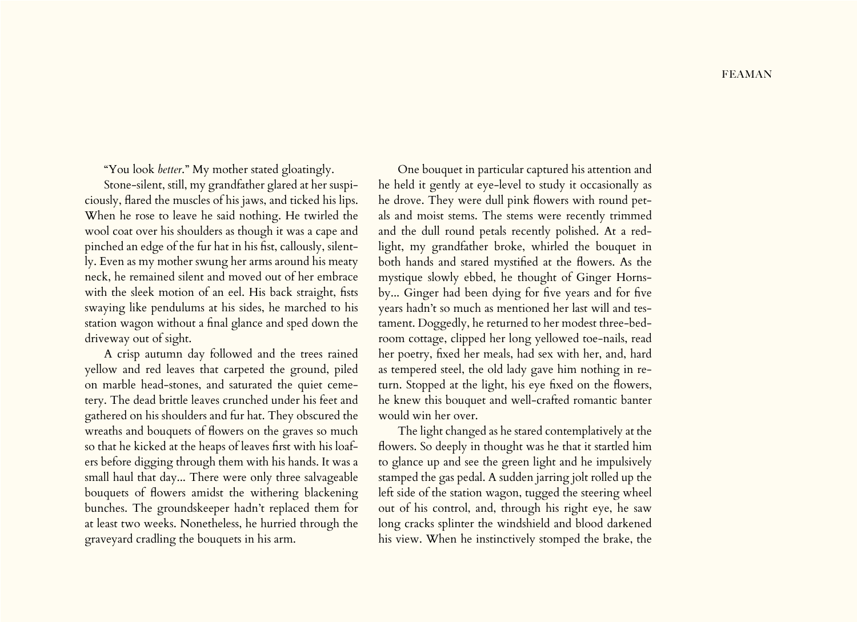"You look *better*." My mother stated gloatingly.

Stone-silent, still, my grandfather glared at her suspiciously, flared the muscles of his jaws, and ticked his lips. When he rose to leave he said nothing. He twirled the wool coat over his shoulders as though it was a cape and pinched an edge of the fur hat in his fist, callously, silently. Even as my mother swung her arms around his meaty neck, he remained silent and moved out of her embrace with the sleek motion of an eel. His back straight, fists swaying like pendulums at his sides, he marched to his station wagon without a final glance and sped down the driveway out of sight.

A crisp autumn day followed and the trees rained yellow and red leaves that carpeted the ground, piled on marble head-stones, and saturated the quiet cemetery. The dead brittle leaves crunched under his feet and gathered on his shoulders and fur hat. They obscured the wreaths and bouquets of flowers on the graves so much so that he kicked at the heaps of leaves first with his loafers before digging through them with his hands. It was a small haul that day... There were only three salvageable bouquets of flowers amidst the withering blackening bunches. The groundskeeper hadn't replaced them for at least two weeks. Nonetheless, he hurried through the graveyard cradling the bouquets in his arm.

One bouquet in particular captured his attention and he held it gently at eye-level to study it occasionally as he drove. They were dull pink flowers with round petals and moist stems. The stems were recently trimmed and the dull round petals recently polished. At a redlight, my grandfather broke, whirled the bouquet in both hands and stared mystified at the flowers. As the mystique slowly ebbed, he thought of Ginger Hornsby... Ginger had been dying for five years and for five years hadn't so much as mentioned her last will and testament. Doggedly, he returned to her modest three-bedroom cottage, clipped her long yellowed toe-nails, read her poetry, fixed her meals, had sex with her, and, hard as tempered steel, the old lady gave him nothing in return. Stopped at the light, his eye fixed on the flowers, he knew this bouquet and well-crafted romantic banter would win her over.

The light changed as he stared contemplatively at the flowers. So deeply in thought was he that it startled him to glance up and see the green light and he impulsively stamped the gas pedal. A sudden jarring jolt rolled up the left side of the station wagon, tugged the steering wheel out of his control, and, through his right eye, he saw long cracks splinter the windshield and blood darkened his view. When he instinctively stomped the brake, the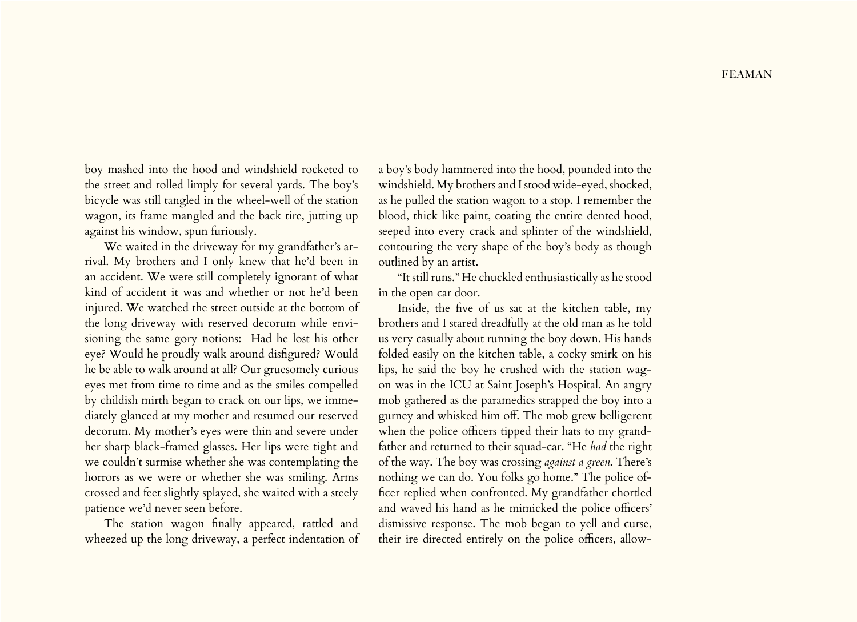boy mashed into the hood and windshield rocketed to the street and rolled limply for several yards. The boy's bicycle was still tangled in the wheel-well of the station wagon, its frame mangled and the back tire, jutting up against his window, spun furiously.

We waited in the driveway for my grandfather's arrival. My brothers and I only knew that he'd been in an accident. We were still completely ignorant of what kind of accident it was and whether or not he'd been injured. We watched the street outside at the bottom of the long driveway with reserved decorum while envisioning the same gory notions: Had he lost his other eye? Would he proudly walk around disfigured? Would he be able to walk around at all? Our gruesomely curious eyes met from time to time and as the smiles compelled by childish mirth began to crack on our lips, we immediately glanced at my mother and resumed our reserved decorum. My mother's eyes were thin and severe under her sharp black-framed glasses. Her lips were tight and we couldn't surmise whether she was contemplating the horrors as we were or whether she was smiling. Arms crossed and feet slightly splayed, she waited with a steely patience we'd never seen before.

The station wagon finally appeared, rattled and wheezed up the long driveway, a perfect indentation of a boy's body hammered into the hood, pounded into the windshield. My brothers and I stood wide-eyed, shocked, as he pulled the station wagon to a stop. I remember the blood, thick like paint, coating the entire dented hood, seeped into every crack and splinter of the windshield, contouring the very shape of the boy's body as though outlined by an artist.

"It still runs." He chuckled enthusiastically as he stood in the open car door.

Inside, the five of us sat at the kitchen table, my brothers and I stared dreadfully at the old man as he told us very casually about running the boy down. His hands folded easily on the kitchen table, a cocky smirk on his lips, he said the boy he crushed with the station wagon was in the ICU at Saint Joseph's Hospital. An angry mob gathered as the paramedics strapped the boy into a gurney and whisked him off. The mob grew belligerent when the police officers tipped their hats to my grandfather and returned to their squad-car. "He *had* the right of the way. The boy was crossing *against a green*. There's nothing we can do. You folks go home." The police officer replied when confronted. My grandfather chortled and waved his hand as he mimicked the police officers' dismissive response. The mob began to yell and curse, their ire directed entirely on the police officers, allow-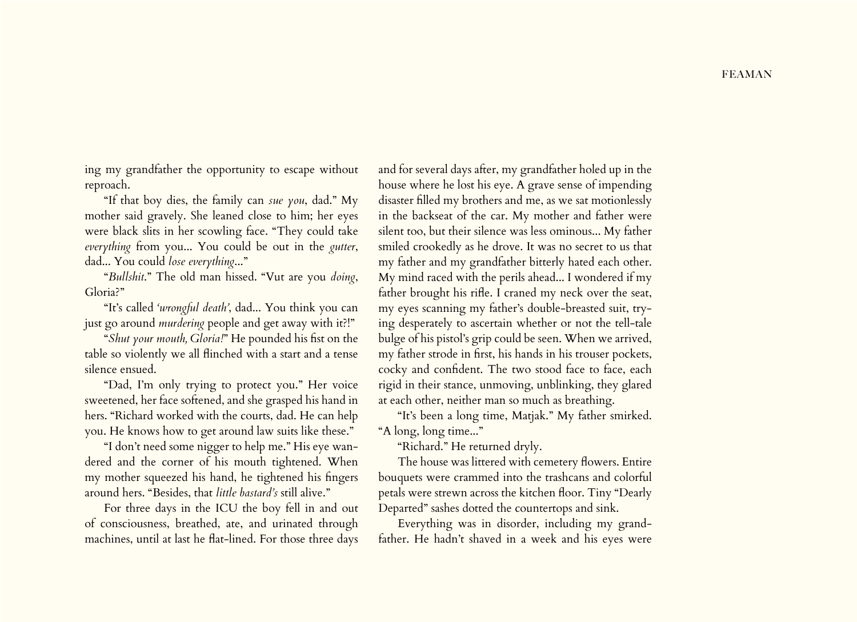ing my grandfather the opportunity to escape without reproach.

"If that boy dies, the family can *sue you*, dad." My mother said gravely. She leaned close to him; her eyes were black slits in her scowling face. "They could take *everything* from you... You could be out in the *gutter*, dad... You could *lose everything*..."

"*Bullshit*." The old man hissed. "Vut are you *doing*, Gloria?"

"It's called *'wrongful death'*, dad... You think you can just go around *murdering* people and get away with it?!"

"*Shut your mouth, Gloria!*" He pounded his fist on the table so violently we all flinched with a start and a tense silence ensued.

"Dad, I'm only trying to protect you." Her voice sweetened, her face softened, and she grasped his hand in hers. "Richard worked with the courts, dad. He can help you. He knows how to get around law suits like these."

"I don't need some nigger to help me." His eye wandered and the corner of his mouth tightened. When my mother squeezed his hand, he tightened his fingers around hers. "Besides, that *little bastard's* still alive."

For three days in the ICU the boy fell in and out of consciousness, breathed, ate, and urinated through machines, until at last he flat-lined. For those three days

and for several days after, my grandfather holed up in the house where he lost his eye. A grave sense of impending disaster filled my brothers and me, as we sat motionlessly in the backseat of the car. My mother and father were silent too, but their silence was less ominous... My father smiled crookedly as he drove. It was no secret to us that my father and my grandfather bitterly hated each other. My mind raced with the perils ahead... I wondered if my father brought his rifle. I craned my neck over the seat, my eyes scanning my father's double-breasted suit, trying desperately to ascertain whether or not the tell-tale bulge of his pistol's grip could be seen. When we arrived, my father strode in first, his hands in his trouser pockets, cocky and confident. The two stood face to face, each rigid in their stance, unmoving, unblinking, they glared at each other, neither man so much as breathing.

"It's been a long time, Matjak." My father smirked. "A long, long time..."

"Richard." He returned dryly.

The house was littered with cemetery flowers. Entire bouquets were crammed into the trashcans and colorful petals were strewn across the kitchen floor. Tiny "Dearly Departed" sashes dotted the countertops and sink.

Everything was in disorder, including my grandfather. He hadn't shaved in a week and his eyes were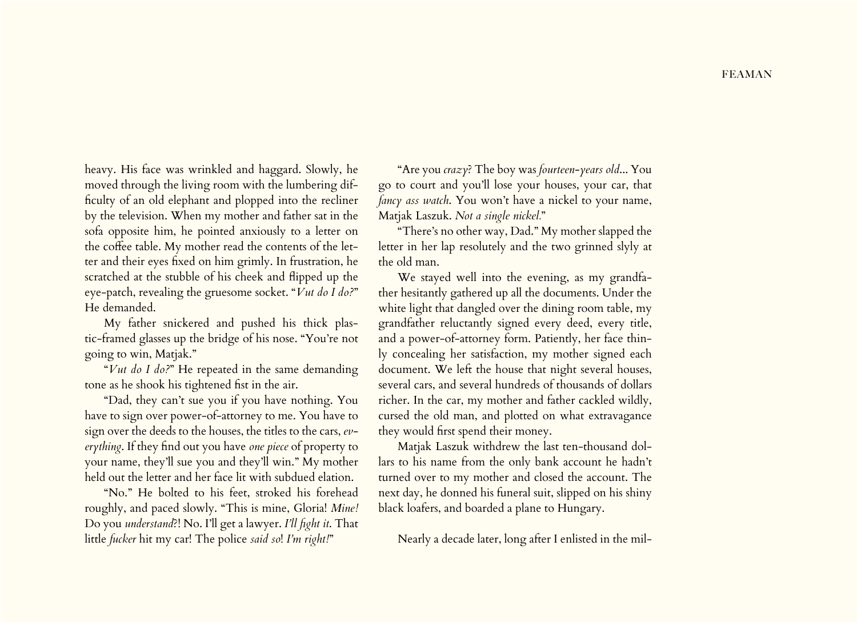heavy. His face was wrinkled and haggard. Slowly, he moved through the living room with the lumbering difficulty of an old elephant and plopped into the recliner by the television. When my mother and father sat in the sofa opposite him, he pointed anxiously to a letter on the coffee table. My mother read the contents of the letter and their eyes fixed on him grimly. In frustration, he scratched at the stubble of his cheek and flipped up the eye-patch, revealing the gruesome socket. "*Vut do I do?*" He demanded.

My father snickered and pushed his thick plastic-framed glasses up the bridge of his nose. "You're not going to win, Matjak."

"*Vut do I do?*" He repeated in the same demanding tone as he shook his tightened fist in the air.

"Dad, they can't sue you if you have nothing. You have to sign over power-of-attorney to me. You have to sign over the deeds to the houses, the titles to the cars, *everything*. If they find out you have *one piece* of property to your name, they'll sue you and they'll win." My mother held out the letter and her face lit with subdued elation.

"No." He bolted to his feet, stroked his forehead roughly, and paced slowly. "This is mine, Gloria! *Mine!* Do you *understand*?! No. I'll get a lawyer. *I'll fight it*. That little *fucker* hit my car! The police *said so*! *I'm right!*"

"Are you *crazy*? The boy was *fourteen-years old*... You go to court and you'll lose your houses, your car, that *fancy ass watch*. You won't have a nickel to your name, Matjak Laszuk. *Not a single nickel.*"

"There's no other way, Dad." My mother slapped the letter in her lap resolutely and the two grinned slyly at the old man.

We stayed well into the evening, as my grandfather hesitantly gathered up all the documents. Under the white light that dangled over the dining room table, my grandfather reluctantly signed every deed, every title, and a power-of-attorney form. Patiently, her face thinly concealing her satisfaction, my mother signed each document. We left the house that night several houses, several cars, and several hundreds of thousands of dollars richer. In the car, my mother and father cackled wildly, cursed the old man, and plotted on what extravagance they would first spend their money.

Matjak Laszuk withdrew the last ten-thousand dollars to his name from the only bank account he hadn't turned over to my mother and closed the account. The next day, he donned his funeral suit, slipped on his shiny black loafers, and boarded a plane to Hungary.

Nearly a decade later, long after I enlisted in the mil-